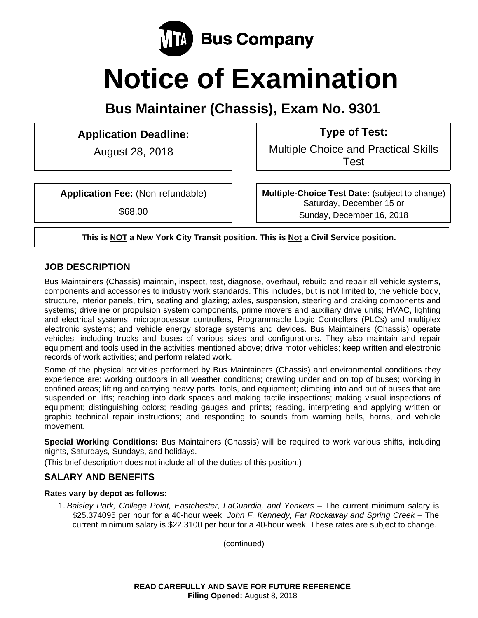

# **Notice of Examination**

**Bus Maintainer (Chassis), Exam No. 9301** 

# **Application Deadline: Type of Test:**

August 28, 2018 Multiple Choice and Practical Skills Test

**Application Fee:** (Non-refundable)

\$68.00

**Multiple-Choice Test Date:** (subject to change) Saturday, December 15 or Sunday, December 16, 2018

**This is NOT a New York City Transit position. This is Not a Civil Service position.** 

# **JOB DESCRIPTION**

Bus Maintainers (Chassis) maintain, inspect, test, diagnose, overhaul, rebuild and repair all vehicle systems, components and accessories to industry work standards. This includes, but is not limited to, the vehicle body, structure, interior panels, trim, seating and glazing; axles, suspension, steering and braking components and systems; driveline or propulsion system components, prime movers and auxiliary drive units; HVAC, lighting and electrical systems; microprocessor controllers, Programmable Logic Controllers (PLCs) and multiplex electronic systems; and vehicle energy storage systems and devices. Bus Maintainers (Chassis) operate vehicles, including trucks and buses of various sizes and configurations. They also maintain and repair equipment and tools used in the activities mentioned above; drive motor vehicles; keep written and electronic records of work activities; and perform related work.

Some of the physical activities performed by Bus Maintainers (Chassis) and environmental conditions they experience are: working outdoors in all weather conditions; crawling under and on top of buses; working in confined areas; lifting and carrying heavy parts, tools, and equipment; climbing into and out of buses that are suspended on lifts; reaching into dark spaces and making tactile inspections; making visual inspections of equipment; distinguishing colors; reading gauges and prints; reading, interpreting and applying written or graphic technical repair instructions; and responding to sounds from warning bells, horns, and vehicle movement.

**Special Working Conditions:** Bus Maintainers (Chassis) will be required to work various shifts, including nights, Saturdays, Sundays, and holidays.

(This brief description does not include all of the duties of this position.)

# **SALARY AND BENEFITS**

#### **Rates vary by depot as follows:**

1. *Baisley Park, College Point, Eastchester, LaGuardia, and Yonkers* – The current minimum salary is \$25.374095 per hour for a 40-hour week. *John F. Kennedy, Far Rockaway and Spring Creek* – The current minimum salary is \$22.3100 per hour for a 40-hour week. These rates are subject to change.

(continued)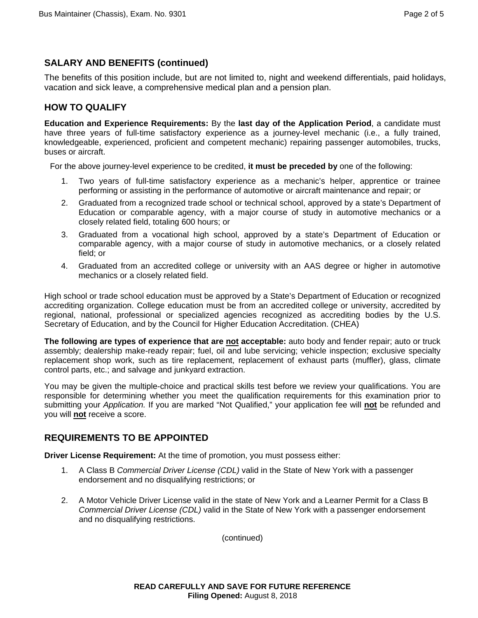# **SALARY AND BENEFITS (continued)**

The benefits of this position include, but are not limited to, night and weekend differentials, paid holidays, vacation and sick leave, a comprehensive medical plan and a pension plan.

# **HOW TO QUALIFY**

**Education and Experience Requirements:** By the **last day of the Application Period**, a candidate must have three years of full-time satisfactory experience as a journey-level mechanic (i.e., a fully trained, knowledgeable, experienced, proficient and competent mechanic) repairing passenger automobiles, trucks, buses or aircraft.

For the above journey-level experience to be credited, **it must be preceded by** one of the following:

- 1. Two years of full-time satisfactory experience as a mechanic's helper, apprentice or trainee performing or assisting in the performance of automotive or aircraft maintenance and repair; or
- 2. Graduated from a recognized trade school or technical school, approved by a state's Department of Education or comparable agency, with a major course of study in automotive mechanics or a closely related field, totaling 600 hours; or
- 3. Graduated from a vocational high school, approved by a state's Department of Education or comparable agency, with a major course of study in automotive mechanics, or a closely related field; or
- 4. Graduated from an accredited college or university with an AAS degree or higher in automotive mechanics or a closely related field.

High school or trade school education must be approved by a State's Department of Education or recognized accrediting organization. College education must be from an accredited college or university, accredited by regional, national, professional or specialized agencies recognized as accrediting bodies by the U.S. Secretary of Education, and by the Council for Higher Education Accreditation. (CHEA)

**The following are types of experience that are not acceptable:** auto body and fender repair; auto or truck assembly; dealership make-ready repair; fuel, oil and lube servicing; vehicle inspection; exclusive specialty replacement shop work, such as tire replacement, replacement of exhaust parts (muffler), glass, climate control parts, etc.; and salvage and junkyard extraction.

You may be given the multiple-choice and practical skills test before we review your qualifications. You are responsible for determining whether you meet the qualification requirements for this examination prior to submitting your *Application.* If you are marked "Not Qualified," your application fee will **not** be refunded and you will **not** receive a score.

# **REQUIREMENTS TO BE APPOINTED**

**Driver License Requirement:** At the time of promotion, you must possess either:

- 1. A Class B *Commercial Driver License (CDL)* valid in the State of New York with a passenger endorsement and no disqualifying restrictions; or
- 2. A Motor Vehicle Driver License valid in the state of New York and a Learner Permit for a Class B *Commercial Driver License (CDL)* valid in the State of New York with a passenger endorsement and no disqualifying restrictions.

(continued)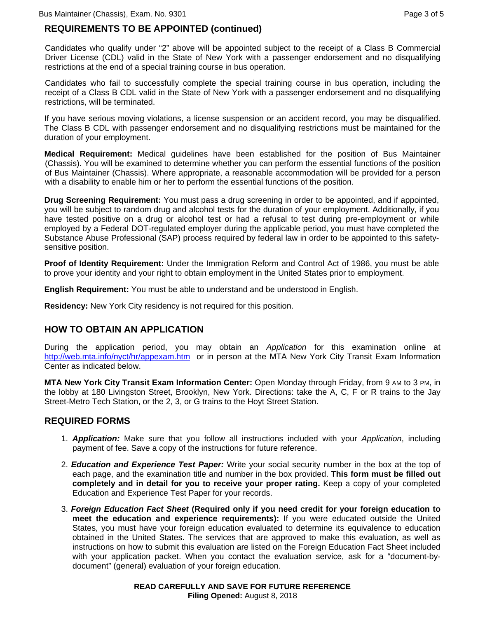# **REQUIREMENTS TO BE APPOINTED (continued)**

Candidates who qualify under "2" above will be appointed subject to the receipt of a Class B Commercial Driver License (CDL) valid in the State of New York with a passenger endorsement and no disqualifying restrictions at the end of a special training course in bus operation.

Candidates who fail to successfully complete the special training course in bus operation, including the receipt of a Class B CDL valid in the State of New York with a passenger endorsement and no disqualifying restrictions, will be terminated.

If you have serious moving violations, a license suspension or an accident record, you may be disqualified. The Class B CDL with passenger endorsement and no disqualifying restrictions must be maintained for the duration of your employment.

**Medical Requirement:** Medical guidelines have been established for the position of Bus Maintainer (Chassis). You will be examined to determine whether you can perform the essential functions of the position of Bus Maintainer (Chassis). Where appropriate, a reasonable accommodation will be provided for a person with a disability to enable him or her to perform the essential functions of the position.

**Drug Screening Requirement:** You must pass a drug screening in order to be appointed, and if appointed, you will be subject to random drug and alcohol tests for the duration of your employment. Additionally, if you have tested positive on a drug or alcohol test or had a refusal to test during pre-employment or while employed by a Federal DOT-regulated employer during the applicable period, you must have completed the Substance Abuse Professional (SAP) process required by federal law in order to be appointed to this safetysensitive position.

**Proof of Identity Requirement:** Under the Immigration Reform and Control Act of 1986, you must be able to prove your identity and your right to obtain employment in the United States prior to employment.

**English Requirement:** You must be able to understand and be understood in English.

**Residency:** New York City residency is not required for this position.

# **HOW TO OBTAIN AN APPLICATION**

During the application period, you may obtain an *Application* for this examination online at http://web.mta.info/nyct/hr/appexam.htm or in person at the MTA New York City Transit Exam Information Center as indicated below.

**MTA New York City Transit Exam Information Center:** Open Monday through Friday, from 9 AM to 3 PM, in the lobby at 180 Livingston Street, Brooklyn, New York. Directions: take the A, C, F or R trains to the Jay Street-Metro Tech Station, or the 2, 3, or G trains to the Hoyt Street Station.

#### **REQUIRED FORMS**

- 1. *Application:* Make sure that you follow all instructions included with your *Application*, including payment of fee. Save a copy of the instructions for future reference.
- 2. *Education and Experience Test Paper:* Write your social security number in the box at the top of each page, and the examination title and number in the box provided. **This form must be filled out completely and in detail for you to receive your proper rating.** Keep a copy of your completed Education and Experience Test Paper for your records.
- 3. *Foreign Education Fact Sheet* **(Required only if you need credit for your foreign education to meet the education and experience requirements):** If you were educated outside the United States, you must have your foreign education evaluated to determine its equivalence to education obtained in the United States. The services that are approved to make this evaluation, as well as instructions on how to submit this evaluation are listed on the Foreign Education Fact Sheet included with your application packet. When you contact the evaluation service, ask for a "document-bydocument" (general) evaluation of your foreign education.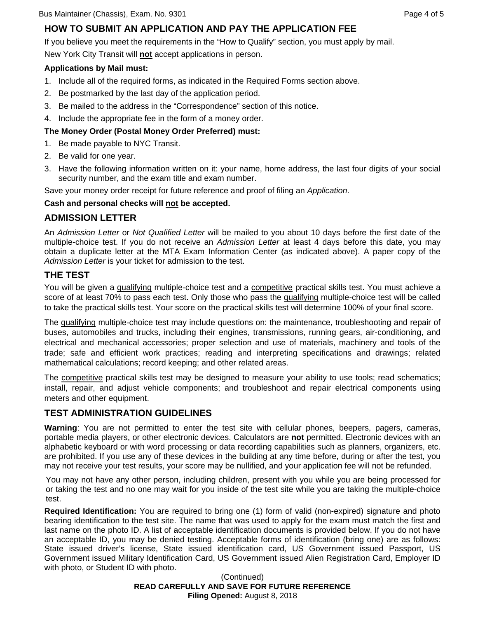# **HOW TO SUBMIT AN APPLICATION AND PAY THE APPLICATION FEE**

If you believe you meet the requirements in the "How to Qualify" section, you must apply by mail.

New York City Transit will **not** accept applications in person.

#### **Applications by Mail must:**

- 1. Include all of the required forms, as indicated in the Required Forms section above.
- 2. Be postmarked by the last day of the application period.
- 3. Be mailed to the address in the "Correspondence" section of this notice.
- 4. Include the appropriate fee in the form of a money order.

#### **The Money Order (Postal Money Order Preferred) must:**

- 1. Be made payable to NYC Transit.
- 2. Be valid for one year.
- 3. Have the following information written on it: your name, home address, the last four digits of your social security number, and the exam title and exam number.

Save your money order receipt for future reference and proof of filing an *Application*.

#### **Cash and personal checks will not be accepted.**

# **ADMISSION LETTER**

An *Admission Letter* or *Not Qualified Letter* will be mailed to you about 10 days before the first date of the multiple-choice test. If you do not receive an *Admission Letter* at least 4 days before this date, you may obtain a duplicate letter at the MTA Exam Information Center (as indicated above). A paper copy of the *Admission Letter* is your ticket for admission to the test.

# **THE TEST**

You will be given a qualifying multiple-choice test and a competitive practical skills test. You must achieve a score of at least 70% to pass each test. Only those who pass the qualifying multiple-choice test will be called to take the practical skills test. Your score on the practical skills test will determine 100% of your final score.

The qualifying multiple-choice test may include questions on: the maintenance, troubleshooting and repair of buses, automobiles and trucks, including their engines, transmissions, running gears, air-conditioning, and electrical and mechanical accessories; proper selection and use of materials, machinery and tools of the trade; safe and efficient work practices; reading and interpreting specifications and drawings; related mathematical calculations; record keeping; and other related areas.

The competitive practical skills test may be designed to measure your ability to use tools; read schematics; install, repair, and adjust vehicle components; and troubleshoot and repair electrical components using meters and other equipment.

# **TEST ADMINISTRATION GUIDELINES**

**Warning**: You are not permitted to enter the test site with cellular phones, beepers, pagers, cameras, portable media players, or other electronic devices. Calculators are **not** permitted. Electronic devices with an alphabetic keyboard or with word processing or data recording capabilities such as planners, organizers, etc. are prohibited. If you use any of these devices in the building at any time before, during or after the test, you may not receive your test results, your score may be nullified, and your application fee will not be refunded.

You may not have any other person, including children, present with you while you are being processed for or taking the test and no one may wait for you inside of the test site while you are taking the multiple-choice test.

**Required Identification:** You are required to bring one (1) form of valid (non-expired) signature and photo bearing identification to the test site. The name that was used to apply for the exam must match the first and last name on the photo ID. A list of acceptable identification documents is provided below. If you do not have an acceptable ID, you may be denied testing. Acceptable forms of identification (bring one) are as follows: State issued driver's license, State issued identification card, US Government issued Passport, US Government issued Military Identification Card, US Government issued Alien Registration Card, Employer ID with photo, or Student ID with photo.

> **READ CAREFULLY AND SAVE FOR FUTURE REFERENCE Filing Opened:** August 8, 2018 (Continued)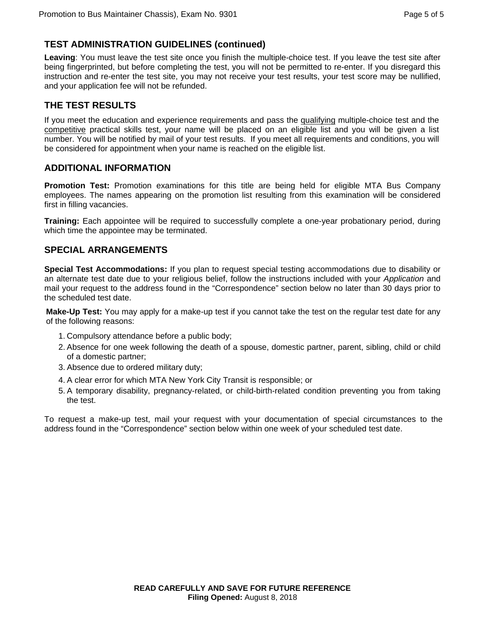# **TEST ADMINISTRATION GUIDELINES (continued)**

**Leaving**: You must leave the test site once you finish the multiple-choice test. If you leave the test site after being fingerprinted, but before completing the test, you will not be permitted to re-enter. If you disregard this instruction and re-enter the test site, you may not receive your test results, your test score may be nullified, and your application fee will not be refunded.

# **THE TEST RESULTS**

If you meet the education and experience requirements and pass the qualifying multiple-choice test and the competitive practical skills test, your name will be placed on an eligible list and you will be given a list number. You will be notified by mail of your test results. If you meet all requirements and conditions, you will be considered for appointment when your name is reached on the eligible list.

## **ADDITIONAL INFORMATION**

**Promotion Test:** Promotion examinations for this title are being held for eligible MTA Bus Company employees. The names appearing on the promotion list resulting from this examination will be considered first in filling vacancies.

**Training:** Each appointee will be required to successfully complete a one-year probationary period, during which time the appointee may be terminated.

#### **SPECIAL ARRANGEMENTS**

**Special Test Accommodations:** If you plan to request special testing accommodations due to disability or an alternate test date due to your religious belief, follow the instructions included with your *Application* and mail your request to the address found in the "Correspondence" section below no later than 30 days prior to the scheduled test date.

**Make-Up Test:** You may apply for a make-up test if you cannot take the test on the regular test date for any of the following reasons:

- 1. Compulsory attendance before a public body;
- 2. Absence for one week following the death of a spouse, domestic partner, parent, sibling, child or child of a domestic partner;
- 3. Absence due to ordered military duty;
- 4. A clear error for which MTA New York City Transit is responsible; or
- 5. A temporary disability, pregnancy-related, or child-birth-related condition preventing you from taking the test.

To request a make-up test, mail your request with your documentation of special circumstances to the address found in the "Correspondence" section below within one week of your scheduled test date.